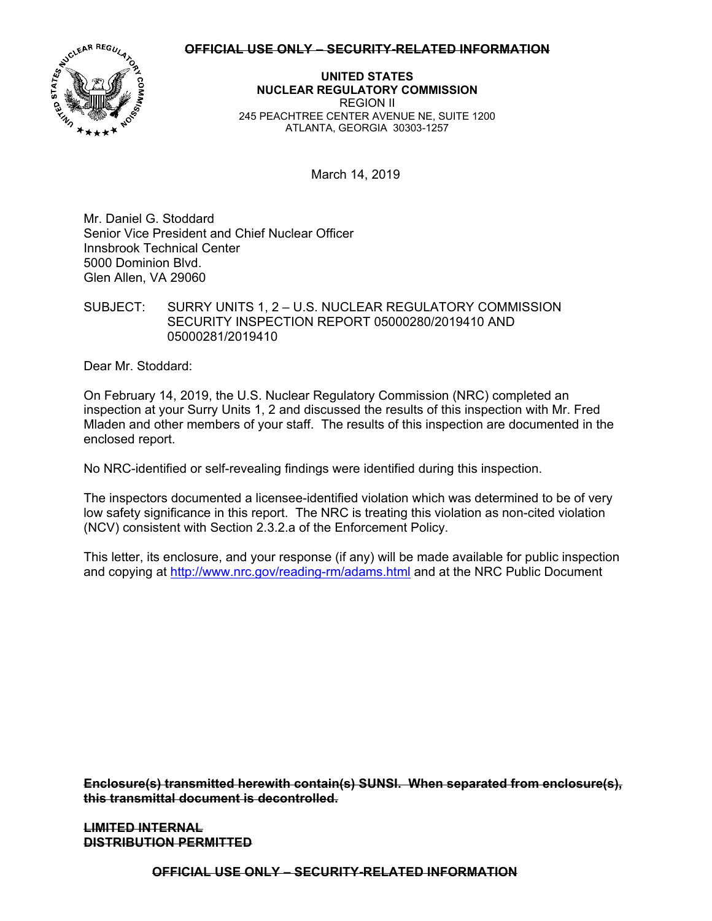### **OFFICIAL USE ONLY – SECURITY-RELATED INFORMATION**



**UNITED STATES NUCLEAR REGULATORY COMMISSION**  REGION II 245 PEACHTREE CENTER AVENUE NE, SUITE 1200 ATLANTA, GEORGIA 30303-1257

March 14, 2019

Mr. Daniel G. Stoddard Senior Vice President and Chief Nuclear Officer Innsbrook Technical Center 5000 Dominion Blvd. Glen Allen, VA 29060

SUBJECT: SURRY UNITS 1, 2 – U.S. NUCLEAR REGULATORY COMMISSION SECURITY INSPECTION REPORT 05000280/2019410 AND 05000281/2019410

Dear Mr. Stoddard:

On February 14, 2019, the U.S. Nuclear Regulatory Commission (NRC) completed an inspection at your Surry Units 1, 2 and discussed the results of this inspection with Mr. Fred Mladen and other members of your staff. The results of this inspection are documented in the enclosed report.

No NRC-identified or self-revealing findings were identified during this inspection.

The inspectors documented a licensee-identified violation which was determined to be of very low safety significance in this report. The NRC is treating this violation as non-cited violation (NCV) consistent with Section 2.3.2.a of the Enforcement Policy.

This letter, its enclosure, and your response (if any) will be made available for public inspection and copying at http://www.nrc.gov/reading-rm/adams.html and at the NRC Public Document

**Enclosure(s) transmitted herewith contain(s) SUNSI. When separated from enclosure(s), this transmittal document is decontrolled.** 

**LIMITED INTERNAL DISTRIBUTION PERMITTED** 

**OFFICIAL USE ONLY – SECURITY-RELATED INFORMATION**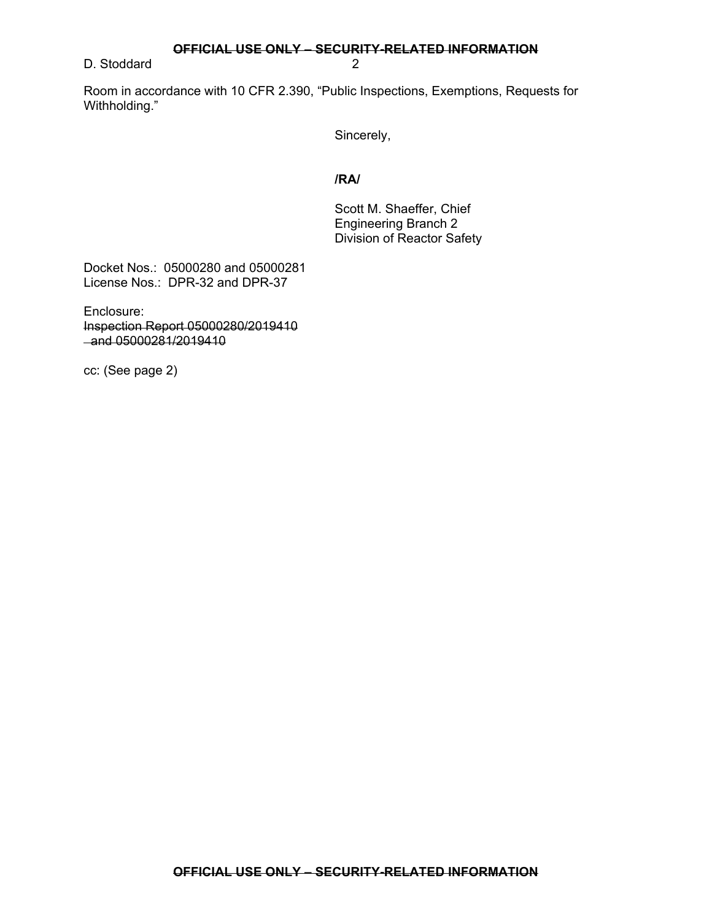**OFFICIAL USE ONLY – SECURITY-RELATED INFORMATION** 

D. Stoddard 2

Room in accordance with 10 CFR 2.390, "Public Inspections, Exemptions, Requests for Withholding."

Sincerely,

## **/RA/**

Scott M. Shaeffer, Chief Engineering Branch 2 Division of Reactor Safety

Docket Nos.: 05000280 and 05000281 License Nos.: DPR-32 and DPR-37

Enclosure: Inspection Report 05000280/2019410 and 05000281/2019410

cc: (See page 2)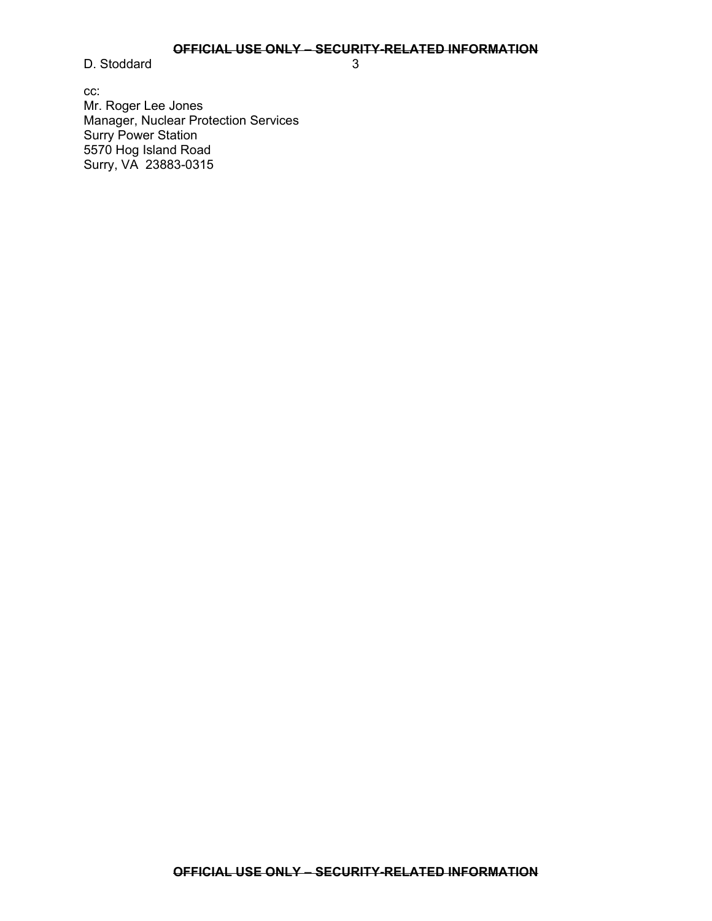# **OFFICIAL USE ONLY – SECURITY-RELATED INFORMATION**

D. Stoddard 3

cc: Mr. Roger Lee Jones Manager, Nuclear Protection Services Surry Power Station 5570 Hog Island Road Surry, VA 23883-0315